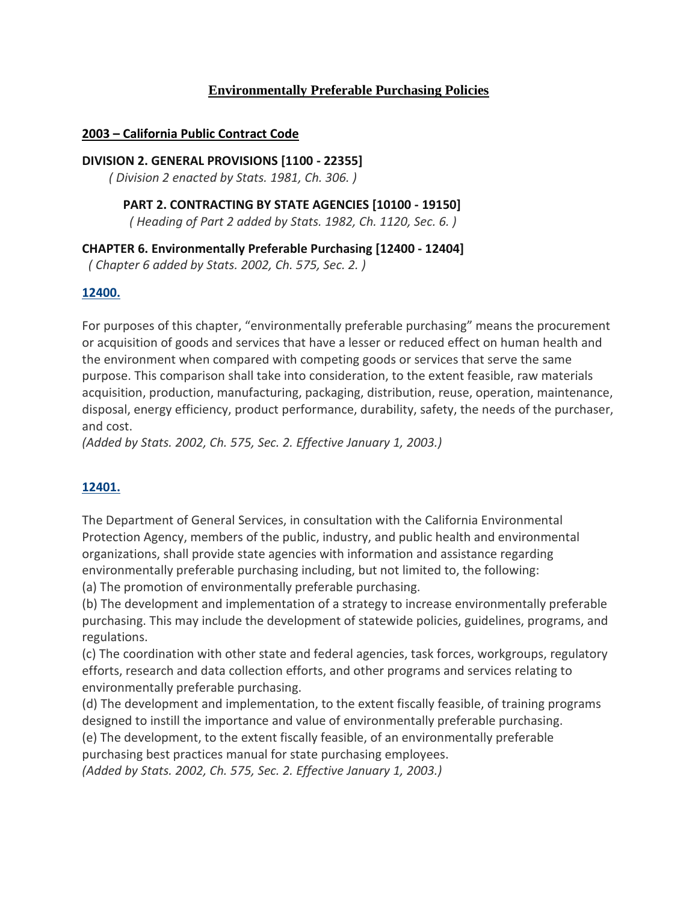# **Environmentally Preferable Purchasing Policies**

### **2003 – California Public Contract Code**

#### **DIVISION 2. GENERAL PROVISIONS [1100 - 22355]**

*( Division 2 enacted by Stats. 1981, Ch. 306. )*

### **PART 2. CONTRACTING BY STATE AGENCIES [10100 - 19150]**

*( Heading of Part 2 added by Stats. 1982, Ch. 1120, Sec. 6. )*

# **CHAPTER 6. Environmentally Preferable Purchasing [12400 - 12404]**

*( Chapter 6 added by Stats. 2002, Ch. 575, Sec. 2. )*

### **[12400.](javascript:submitCodesValues()**

For purposes of this chapter, "environmentally preferable purchasing" means the procurement or acquisition of goods and services that have a lesser or reduced effect on human health and the environment when compared with competing goods or services that serve the same purpose. This comparison shall take into consideration, to the extent feasible, raw materials acquisition, production, manufacturing, packaging, distribution, reuse, operation, maintenance, disposal, energy efficiency, product performance, durability, safety, the needs of the purchaser, and cost.

*(Added by Stats. 2002, Ch. 575, Sec. 2. Effective January 1, 2003.)*

# **[12401.](javascript:submitCodesValues()**

The Department of General Services, in consultation with the California Environmental Protection Agency, members of the public, industry, and public health and environmental organizations, shall provide state agencies with information and assistance regarding environmentally preferable purchasing including, but not limited to, the following:

(a) The promotion of environmentally preferable purchasing.

(b) The development and implementation of a strategy to increase environmentally preferable purchasing. This may include the development of statewide policies, guidelines, programs, and regulations.

(c) The coordination with other state and federal agencies, task forces, workgroups, regulatory efforts, research and data collection efforts, and other programs and services relating to environmentally preferable purchasing.

(d) The development and implementation, to the extent fiscally feasible, of training programs designed to instill the importance and value of environmentally preferable purchasing.

(e) The development, to the extent fiscally feasible, of an environmentally preferable purchasing best practices manual for state purchasing employees.

*(Added by Stats. 2002, Ch. 575, Sec. 2. Effective January 1, 2003.)*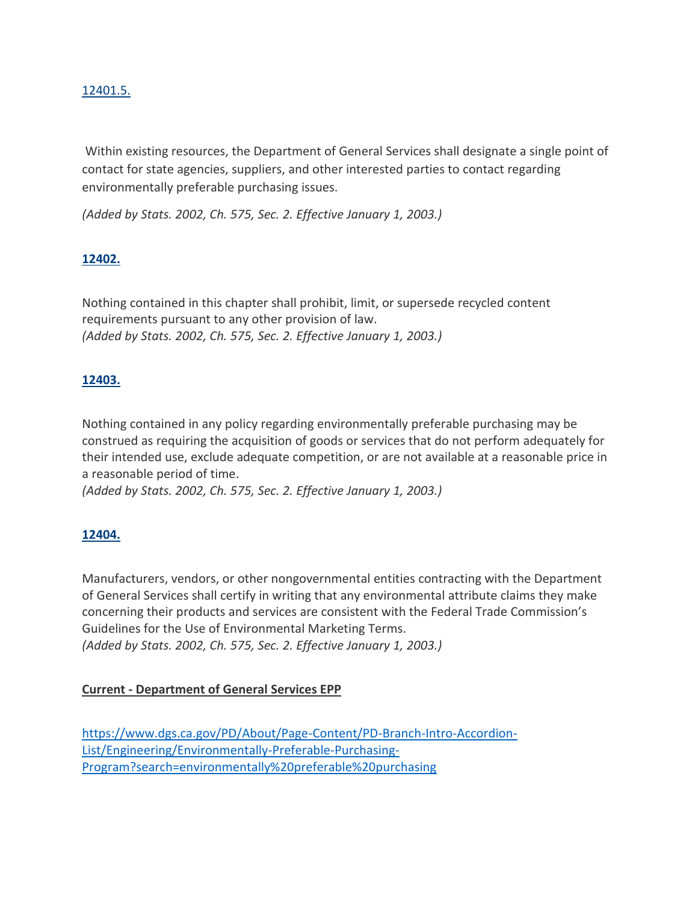# [12401.5.](javascript:submitCodesValues()

Within existing resources, the Department of General Services shall designate a single point of contact for state agencies, suppliers, and other interested parties to contact regarding environmentally preferable purchasing issues.

*(Added by Stats. 2002, Ch. 575, Sec. 2. Effective January 1, 2003.)*

### **[12402.](javascript:submitCodesValues()**

Nothing contained in this chapter shall prohibit, limit, or supersede recycled content requirements pursuant to any other provision of law. *(Added by Stats. 2002, Ch. 575, Sec. 2. Effective January 1, 2003.)*

# **[12403.](javascript:submitCodesValues()**

Nothing contained in any policy regarding environmentally preferable purchasing may be construed as requiring the acquisition of goods or services that do not perform adequately for their intended use, exclude adequate competition, or are not available at a reasonable price in a reasonable period of time.

*(Added by Stats. 2002, Ch. 575, Sec. 2. Effective January 1, 2003.)*

#### **[12404.](javascript:submitCodesValues()**

Manufacturers, vendors, or other nongovernmental entities contracting with the Department of General Services shall certify in writing that any environmental attribute claims they make concerning their products and services are consistent with the Federal Trade Commission's Guidelines for the Use of Environmental Marketing Terms. *(Added by Stats. 2002, Ch. 575, Sec. 2. Effective January 1, 2003.)*

#### **Current - Department of General Services EPP**

[https://www.dgs.ca.gov/PD/About/Page-Content/PD-Branch-Intro-Accordion-](https://www.dgs.ca.gov/PD/About/Page-Content/PD-Branch-Intro-Accordion-List/Engineering/Environmentally-Preferable-Purchasing-Program?search=environmentally%20preferable%20purchasing)[List/Engineering/Environmentally-Preferable-Purchasing-](https://www.dgs.ca.gov/PD/About/Page-Content/PD-Branch-Intro-Accordion-List/Engineering/Environmentally-Preferable-Purchasing-Program?search=environmentally%20preferable%20purchasing)[Program?search=environmentally%20preferable%20purchasing](https://www.dgs.ca.gov/PD/About/Page-Content/PD-Branch-Intro-Accordion-List/Engineering/Environmentally-Preferable-Purchasing-Program?search=environmentally%20preferable%20purchasing)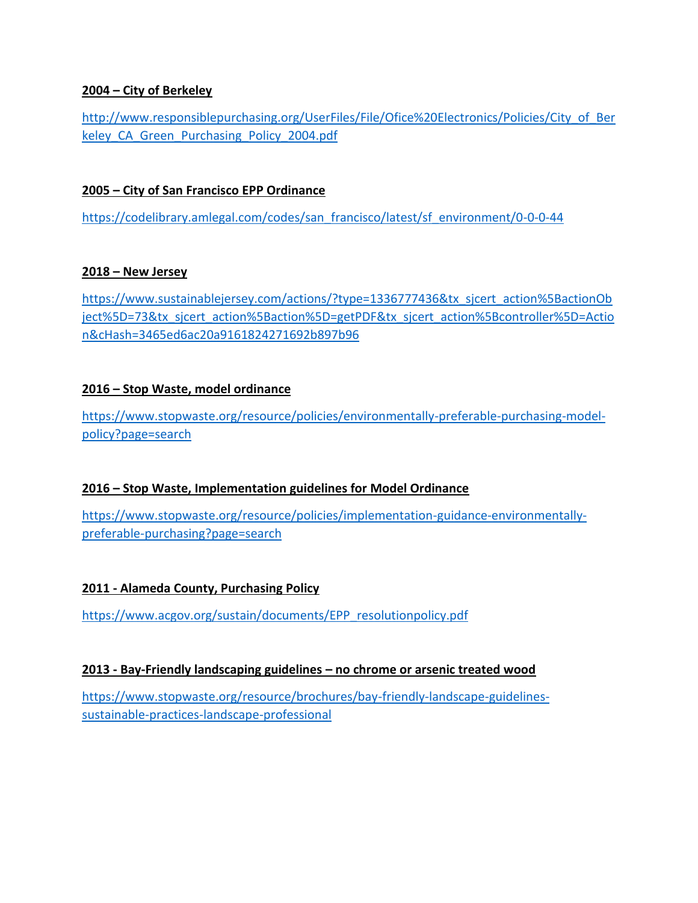# **2004 – City of Berkeley**

[http://www.responsiblepurchasing.org/UserFiles/File/Ofice%20Electronics/Policies/City\\_of\\_Ber](http://www.responsiblepurchasing.org/UserFiles/File/Ofice%20Electronics/Policies/City_of_Berkeley_CA_Green_Purchasing_Policy_2004.pdf) keley CA Green Purchasing Policy 2004.pdf

#### **2005 – City of San Francisco EPP Ordinance**

[https://codelibrary.amlegal.com/codes/san\\_francisco/latest/sf\\_environment/0-0-0-44](https://codelibrary.amlegal.com/codes/san_francisco/latest/sf_environment/0-0-0-44)

### **2018 – New Jersey**

[https://www.sustainablejersey.com/actions/?type=1336777436&tx\\_sjcert\\_action%5BactionOb](https://www.sustainablejersey.com/actions/?type=1336777436&tx_sjcert_action%5BactionObject%5D=73&tx_sjcert_action%5Baction%5D=getPDF&tx_sjcert_action%5Bcontroller%5D=Action&cHash=3465ed6ac20a9161824271692b897b96) [ject%5D=73&tx\\_sjcert\\_action%5Baction%5D=getPDF&tx\\_sjcert\\_action%5Bcontroller%5D=Actio](https://www.sustainablejersey.com/actions/?type=1336777436&tx_sjcert_action%5BactionObject%5D=73&tx_sjcert_action%5Baction%5D=getPDF&tx_sjcert_action%5Bcontroller%5D=Action&cHash=3465ed6ac20a9161824271692b897b96) [n&cHash=3465ed6ac20a9161824271692b897b96](https://www.sustainablejersey.com/actions/?type=1336777436&tx_sjcert_action%5BactionObject%5D=73&tx_sjcert_action%5Baction%5D=getPDF&tx_sjcert_action%5Bcontroller%5D=Action&cHash=3465ed6ac20a9161824271692b897b96)

### **2016 – Stop Waste, model ordinance**

[https://www.stopwaste.org/resource/policies/environmentally-preferable-purchasing-model](https://www.stopwaste.org/resource/policies/environmentally-preferable-purchasing-model-policy?page=search)[policy?page=search](https://www.stopwaste.org/resource/policies/environmentally-preferable-purchasing-model-policy?page=search)

#### **2016 – Stop Waste, Implementation guidelines for Model Ordinance**

[https://www.stopwaste.org/resource/policies/implementation-guidance-environmentally](https://www.stopwaste.org/resource/policies/implementation-guidance-environmentally-preferable-purchasing?page=search)[preferable-purchasing?page=search](https://www.stopwaste.org/resource/policies/implementation-guidance-environmentally-preferable-purchasing?page=search)

# **2011 - Alameda County, Purchasing Policy**

[https://www.acgov.org/sustain/documents/EPP\\_resolutionpolicy.pdf](https://www.acgov.org/sustain/documents/EPP_resolutionpolicy.pdf)

#### **2013 - Bay-Friendly landscaping guidelines – no chrome or arsenic treated wood**

[https://www.stopwaste.org/resource/brochures/bay-friendly-landscape-guidelines](https://www.stopwaste.org/resource/brochures/bay-friendly-landscape-guidelines-sustainable-practices-landscape-professional)[sustainable-practices-landscape-professional](https://www.stopwaste.org/resource/brochures/bay-friendly-landscape-guidelines-sustainable-practices-landscape-professional)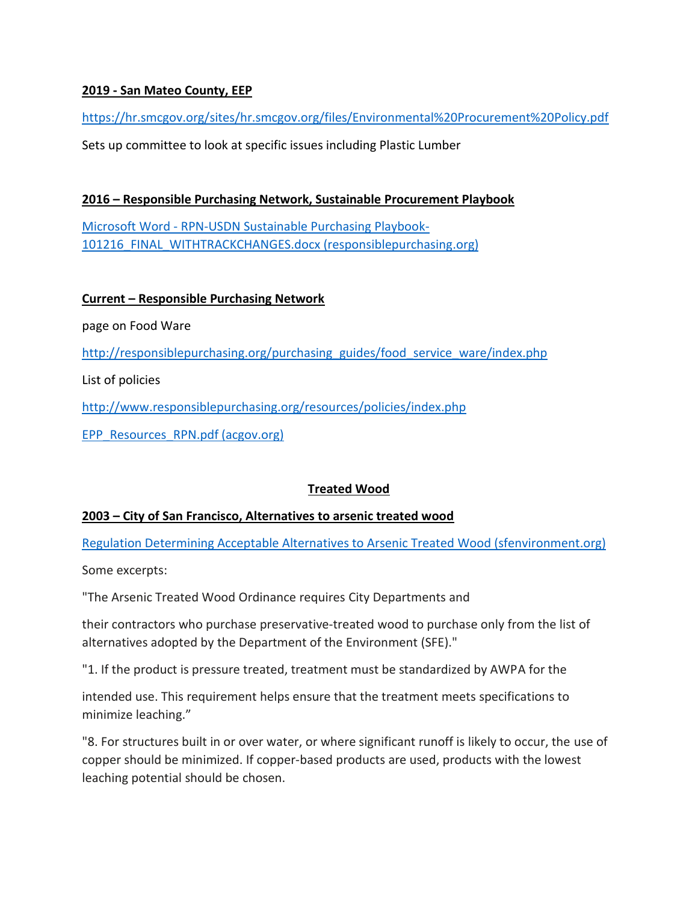# **2019 - San Mateo County, EEP**

<https://hr.smcgov.org/sites/hr.smcgov.org/files/Environmental%20Procurement%20Policy.pdf>

Sets up committee to look at specific issues including Plastic Lumber

# **2016 – Responsible Purchasing Network, Sustainable Procurement Playbook**

Microsoft Word - [RPN-USDN Sustainable Purchasing Playbook-](http://responsiblepurchasing.org/purchasing_guides/playbook_for_cities/rpn_usdn_playbook_for_cities.pdf)101216 FINAL\_WITHTRACKCHANGES.docx (responsiblepurchasing.org)

# **Current – Responsible Purchasing Network**

page on Food Ware

[http://responsiblepurchasing.org/purchasing\\_guides/food\\_service\\_ware/index.php](http://responsiblepurchasing.org/purchasing_guides/food_service_ware/index.php)

List of policies

<http://www.responsiblepurchasing.org/resources/policies/index.php>

[EPP\\_Resources\\_RPN.pdf \(acgov.org\)](http://www.acgov.org/sustain/documents/EPP_Resources_RPN.pdf)

# **Treated Wood**

# **2003 – City of San Francisco, Alternatives to arsenic treated wood**

[Regulation Determining Acceptable Alternatives to Arsenic Treated Wood \(sfenvironment.org\)](https://sfenvironment.org/sites/default/files/fliers/files/sfa_arsenic_regulation_text.pdf)

Some excerpts:

"The Arsenic Treated Wood Ordinance requires City Departments and

their contractors who purchase preservative-treated wood to purchase only from the list of alternatives adopted by the Department of the Environment (SFE)."

"1. If the product is pressure treated, treatment must be standardized by AWPA for the

intended use. This requirement helps ensure that the treatment meets specifications to minimize leaching."

"8. For structures built in or over water, or where significant runoff is likely to occur, the use of copper should be minimized. If copper-based products are used, products with the lowest leaching potential should be chosen.